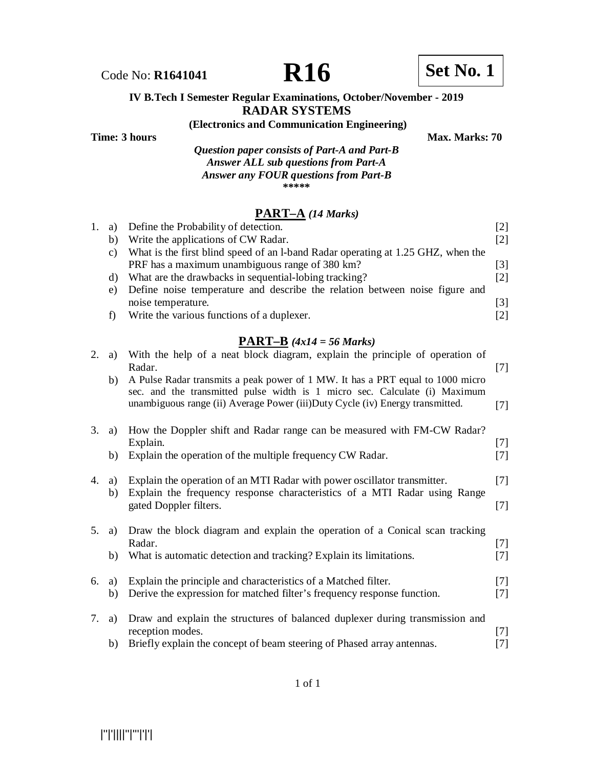Code No: **R1641041 R16 R16 Set No. 1** 

#### **IV B.Tech I Semester Regular Examinations, October/November - 2019 RADAR SYSTEMS**

**(Electronics and Communication Engineering)**

**Time: 3 hours** Max. Marks: 70

*Question paper consists of Part-A and Part-B Answer ALL sub questions from Part-A Answer any FOUR questions from Part-B* **\*\*\*\*\***

#### **PART–A** *(14 Marks)*

| a) | Define the Probability of detection.                                             |     |
|----|----------------------------------------------------------------------------------|-----|
| b) | Write the applications of CW Radar.                                              | 121 |
| C) | What is the first blind speed of an 1-band Radar operating at 1.25 GHZ, when the |     |
|    | PRF has a maximum unambiguous range of 380 km?                                   | 131 |
| d) | What are the drawbacks in sequential-lobing tracking?                            | 121 |
| e) | Define noise temperature and describe the relation between noise figure and      |     |
|    | noise temperature.                                                               | [3] |
|    | Write the various functions of a duplexer.                                       |     |
|    |                                                                                  |     |

### **PART–B** *(4x14 = 56 Marks)*

| 2. | a)       | With the help of a neat block diagram, explain the principle of operation of<br>Radar.                                                                                                                                                         | $[7]$          |
|----|----------|------------------------------------------------------------------------------------------------------------------------------------------------------------------------------------------------------------------------------------------------|----------------|
|    | b)       | A Pulse Radar transmits a peak power of 1 MW. It has a PRT equal to 1000 micro<br>sec. and the transmitted pulse width is 1 micro sec. Calculate (i) Maximum<br>unambiguous range (ii) Average Power (iii) Duty Cycle (iv) Energy transmitted. | $[7]$          |
| 3. | a)       | How the Doppler shift and Radar range can be measured with FM-CW Radar?                                                                                                                                                                        |                |
|    | b)       | Explain.<br>Explain the operation of the multiple frequency CW Radar.                                                                                                                                                                          | $[7]$<br>$[7]$ |
| 4. | a)       | Explain the operation of an MTI Radar with power oscillator transmitter.                                                                                                                                                                       | $[7]$          |
|    | b)       | Explain the frequency response characteristics of a MTI Radar using Range<br>gated Doppler filters.                                                                                                                                            | $[7]$          |
| 5. | a)       | Draw the block diagram and explain the operation of a Conical scan tracking                                                                                                                                                                    |                |
|    | b)       | Radar.<br>What is automatic detection and tracking? Explain its limitations.                                                                                                                                                                   | $[7]$<br>$[7]$ |
| 6. | a)<br>b) | Explain the principle and characteristics of a Matched filter.<br>Derive the expression for matched filter's frequency response function.                                                                                                      | $[7]$<br>$[7]$ |
| 7. | a)       | Draw and explain the structures of balanced duplexer during transmission and<br>reception modes.                                                                                                                                               | $[7]$          |
|    | b)       | Briefly explain the concept of beam steering of Phased array antennas.                                                                                                                                                                         | $[7]$          |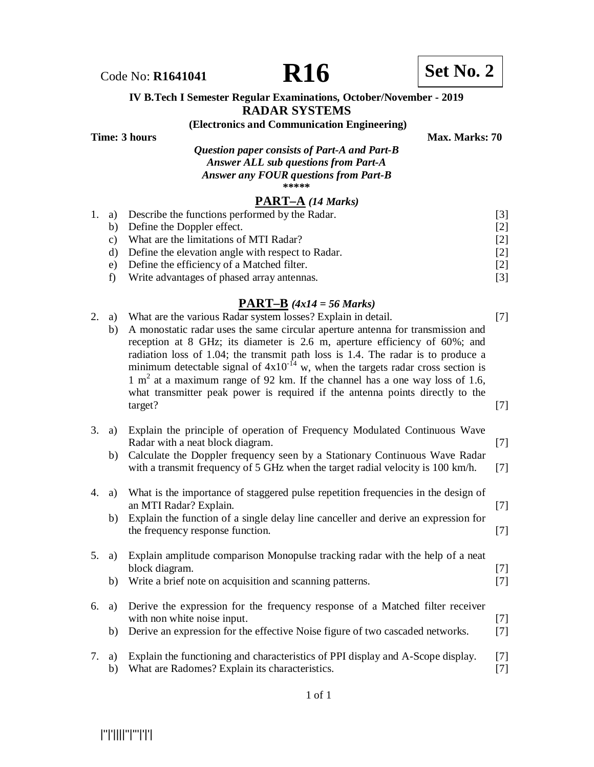

Code No: **R1641041 R16 R16 Set No. 2** 

#### **IV B.Tech I Semester Regular Examinations, October/November - 2019 RADAR SYSTEMS**

#### **(Electronics and Communication Engineering)**

**Time: 3 hours** Max. Marks: 70

*Question paper consists of Part-A and Part-B Answer ALL sub questions from Part-A Answer any FOUR questions from Part-B* **\*\*\*\*\***

#### **PART–A** *(14 Marks)*

|                 | 1. a) Describe the functions performed by the Radar. | 131               |
|-----------------|------------------------------------------------------|-------------------|
|                 | b) Define the Doppler effect.                        | $\lceil 2 \rceil$ |
| $\mathcal{C}$ ) | What are the limitations of MTI Radar?               | $\lceil 2 \rceil$ |
|                 | Define the elevation angle with respect to Radar.    | 121               |
| e)              | Define the efficiency of a Matched filter.           | 2                 |
|                 | Write advantages of phased array antennas.           | 131               |

### **PART–B** *(4x14 = 56 Marks)*

| 2.             | a)<br>b) | What are the various Radar system losses? Explain in detail.<br>A monostatic radar uses the same circular aperture antenna for transmission and<br>reception at 8 GHz; its diameter is 2.6 m, aperture efficiency of 60%; and<br>radiation loss of 1.04; the transmit path loss is 1.4. The radar is to produce a<br>minimum detectable signal of $4x10^{-14}$ w, when the targets radar cross section is<br>1 m <sup>2</sup> at a maximum range of 92 km. If the channel has a one way loss of 1.6,<br>what transmitter peak power is required if the antenna points directly to the<br>target? | $[7]$<br>$[7]$ |
|----------------|----------|--------------------------------------------------------------------------------------------------------------------------------------------------------------------------------------------------------------------------------------------------------------------------------------------------------------------------------------------------------------------------------------------------------------------------------------------------------------------------------------------------------------------------------------------------------------------------------------------------|----------------|
| 3.             | a)<br>b) | Explain the principle of operation of Frequency Modulated Continuous Wave<br>Radar with a neat block diagram.<br>Calculate the Doppler frequency seen by a Stationary Continuous Wave Radar<br>with a transmit frequency of 5 GHz when the target radial velocity is 100 km/h.                                                                                                                                                                                                                                                                                                                   | $[7]$<br>$[7]$ |
| 4.             | a)<br>b) | What is the importance of staggered pulse repetition frequencies in the design of<br>an MTI Radar? Explain.<br>Explain the function of a single delay line canceller and derive an expression for<br>the frequency response function.                                                                                                                                                                                                                                                                                                                                                            | $[7]$<br>$[7]$ |
| 5 <sub>1</sub> | a)<br>b) | Explain amplitude comparison Monopulse tracking radar with the help of a neat<br>block diagram.<br>Write a brief note on acquisition and scanning patterns.                                                                                                                                                                                                                                                                                                                                                                                                                                      | $[7]$<br>$[7]$ |
| 6.             | a)<br>b) | Derive the expression for the frequency response of a Matched filter receiver<br>with non white noise input.<br>Derive an expression for the effective Noise figure of two cascaded networks.                                                                                                                                                                                                                                                                                                                                                                                                    | $[7]$<br>$[7]$ |
| 7.             | a)<br>b) | Explain the functioning and characteristics of PPI display and A-Scope display.<br>What are Radomes? Explain its characteristics.                                                                                                                                                                                                                                                                                                                                                                                                                                                                | [7]<br>$[7]$   |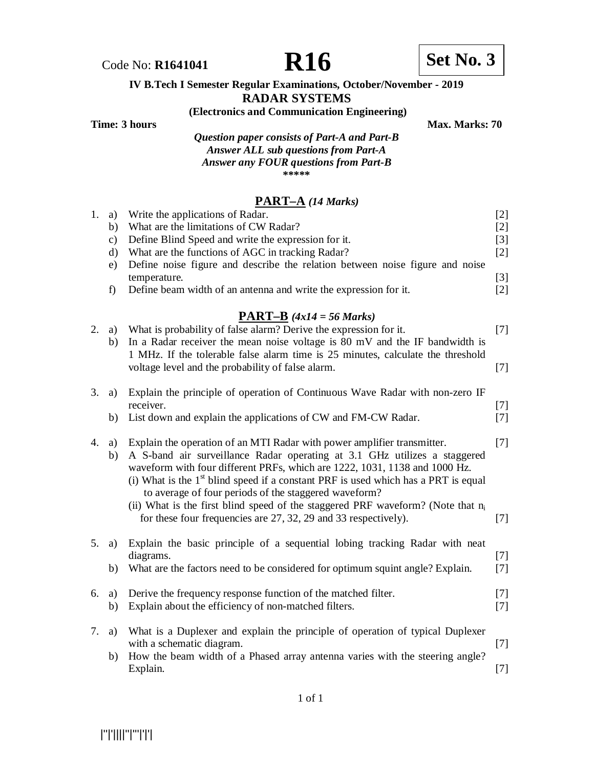



# **IV B.Tech I Semester Regular Examinations, October/November - 2019**

**RADAR SYSTEMS**

**(Electronics and Communication Engineering)**

**Time: 3 hours Max. Marks: 70** 

*Question paper consists of Part-A and Part-B Answer ALL sub questions from Part-A Answer any FOUR questions from Part-B* **\*\*\*\*\***

### **PART–A** *(14 Marks)*

| 1. | a)<br>b)<br>$\mathbf{c})$<br>$\rm d)$<br>e)<br>f) | Write the applications of Radar.<br>What are the limitations of CW Radar?<br>Define Blind Speed and write the expression for it.<br>What are the functions of AGC in tracking Radar?<br>Define noise figure and describe the relation between noise figure and noise<br>temperature.<br>Define beam width of an antenna and write the expression for it.                                                                                                                                                                                               | $[2]$<br>$[2]$<br>$[3]$<br>$[2]$<br>$[3]$<br>$[2]$ |
|----|---------------------------------------------------|--------------------------------------------------------------------------------------------------------------------------------------------------------------------------------------------------------------------------------------------------------------------------------------------------------------------------------------------------------------------------------------------------------------------------------------------------------------------------------------------------------------------------------------------------------|----------------------------------------------------|
| 2. | a)<br>b)                                          | $\overline{PART-B}$ (4x14 = 56 Marks)<br>What is probability of false alarm? Derive the expression for it.<br>In a Radar receiver the mean noise voltage is 80 mV and the IF bandwidth is<br>1 MHz. If the tolerable false alarm time is 25 minutes, calculate the threshold<br>voltage level and the probability of false alarm.                                                                                                                                                                                                                      | $[7]$<br>$[7]$                                     |
| 3. | a)<br>b)                                          | Explain the principle of operation of Continuous Wave Radar with non-zero IF<br>receiver.<br>List down and explain the applications of CW and FM-CW Radar.                                                                                                                                                                                                                                                                                                                                                                                             | $[7]$<br>$[7]$                                     |
| 4. | a)<br>b)                                          | Explain the operation of an MTI Radar with power amplifier transmitter.<br>A S-band air surveillance Radar operating at 3.1 GHz utilizes a staggered<br>waveform with four different PRFs, which are 1222, 1031, 1138 and 1000 Hz.<br>(i) What is the 1 <sup>st</sup> blind speed if a constant PRF is used which has a PRT is equal<br>to average of four periods of the staggered waveform?<br>(ii) What is the first blind speed of the staggered PRF waveform? (Note that $n_i$<br>for these four frequencies are 27, 32, 29 and 33 respectively). | $[7]$<br>$[7]$                                     |
| 5. | a)<br>b)                                          | Explain the basic principle of a sequential lobing tracking Radar with neat<br>diagrams.<br>What are the factors need to be considered for optimum squint angle? Explain.                                                                                                                                                                                                                                                                                                                                                                              | $[7]$<br>$[7]$                                     |
| 6. | a)<br>b)                                          | Derive the frequency response function of the matched filter.<br>Explain about the efficiency of non-matched filters.                                                                                                                                                                                                                                                                                                                                                                                                                                  | $[7]$<br>$[7]$                                     |
| 7. | a)<br>b)                                          | What is a Duplexer and explain the principle of operation of typical Duplexer<br>with a schematic diagram.<br>How the beam width of a Phased array antenna varies with the steering angle?<br>Explain.                                                                                                                                                                                                                                                                                                                                                 | $[7]$<br>$[7]$                                     |